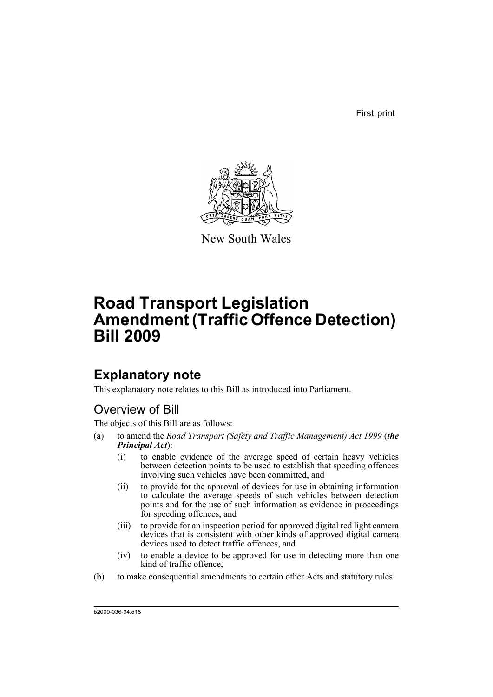First print



New South Wales

# **Road Transport Legislation Amendment (Traffic Offence Detection) Bill 2009**

## **Explanatory note**

This explanatory note relates to this Bill as introduced into Parliament.

## Overview of Bill

The objects of this Bill are as follows:

- (a) to amend the *Road Transport (Safety and Traffic Management) Act 1999* (*the Principal Act*):
	- (i) to enable evidence of the average speed of certain heavy vehicles between detection points to be used to establish that speeding offences involving such vehicles have been committed, and
	- (ii) to provide for the approval of devices for use in obtaining information to calculate the average speeds of such vehicles between detection points and for the use of such information as evidence in proceedings for speeding offences, and
	- (iii) to provide for an inspection period for approved digital red light camera devices that is consistent with other kinds of approved digital camera devices used to detect traffic offences, and
	- (iv) to enable a device to be approved for use in detecting more than one kind of traffic offence,
- (b) to make consequential amendments to certain other Acts and statutory rules.

b2009-036-94.d15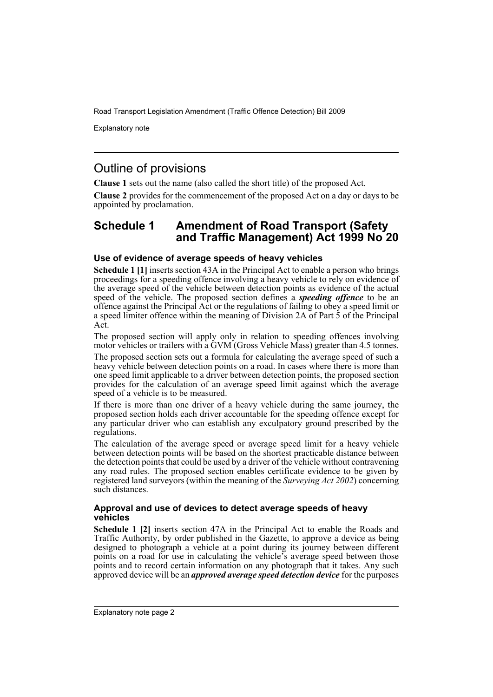Explanatory note

### Outline of provisions

**Clause 1** sets out the name (also called the short title) of the proposed Act.

**Clause 2** provides for the commencement of the proposed Act on a day or days to be appointed by proclamation.

### **Schedule 1 Amendment of Road Transport (Safety and Traffic Management) Act 1999 No 20**

#### **Use of evidence of average speeds of heavy vehicles**

**Schedule 1 [1]** inserts section 43A in the Principal Act to enable a person who brings proceedings for a speeding offence involving a heavy vehicle to rely on evidence of the average speed of the vehicle between detection points as evidence of the actual speed of the vehicle. The proposed section defines a *speeding offence* to be an offence against the Principal Act or the regulations of failing to obey a speed limit or a speed limiter offence within the meaning of Division 2A of Part 5 of the Principal Act.

The proposed section will apply only in relation to speeding offences involving motor vehicles or trailers with a GVM (Gross Vehicle Mass) greater than 4.5 tonnes.

The proposed section sets out a formula for calculating the average speed of such a heavy vehicle between detection points on a road. In cases where there is more than one speed limit applicable to a driver between detection points, the proposed section provides for the calculation of an average speed limit against which the average speed of a vehicle is to be measured.

If there is more than one driver of a heavy vehicle during the same journey, the proposed section holds each driver accountable for the speeding offence except for any particular driver who can establish any exculpatory ground prescribed by the regulations.

The calculation of the average speed or average speed limit for a heavy vehicle between detection points will be based on the shortest practicable distance between the detection points that could be used by a driver of the vehicle without contravening any road rules. The proposed section enables certificate evidence to be given by registered land surveyors (within the meaning of the *Surveying Act 2002*) concerning such distances.

#### **Approval and use of devices to detect average speeds of heavy vehicles**

**Schedule 1 [2]** inserts section 47A in the Principal Act to enable the Roads and Traffic Authority, by order published in the Gazette, to approve a device as being designed to photograph a vehicle at a point during its journey between different points on a road for use in calculating the vehicle's average speed between those points and to record certain information on any photograph that it takes. Any such approved device will be an *approved average speed detection device* for the purposes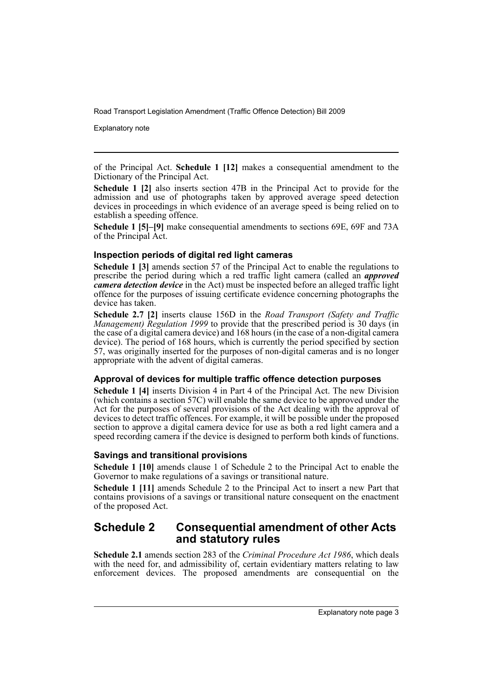Explanatory note

of the Principal Act. **Schedule 1 [12]** makes a consequential amendment to the Dictionary of the Principal Act.

**Schedule 1 [2]** also inserts section 47B in the Principal Act to provide for the admission and use of photographs taken by approved average speed detection devices in proceedings in which evidence of an average speed is being relied on to establish a speeding offence.

**Schedule 1 [5]–[9]** make consequential amendments to sections 69E, 69F and 73A of the Principal Act.

#### **Inspection periods of digital red light cameras**

**Schedule 1 [3]** amends section 57 of the Principal Act to enable the regulations to prescribe the period during which a red traffic light camera (called an *approved camera detection device* in the Act) must be inspected before an alleged traffic light offence for the purposes of issuing certificate evidence concerning photographs the device has taken.

**Schedule 2.7 [2]** inserts clause 156D in the *Road Transport (Safety and Traffic Management) Regulation 1999* to provide that the prescribed period is 30 days (in the case of a digital camera device) and 168 hours (in the case of a non-digital camera device). The period of 168 hours, which is currently the period specified by section 57, was originally inserted for the purposes of non-digital cameras and is no longer appropriate with the advent of digital cameras.

#### **Approval of devices for multiple traffic offence detection purposes**

**Schedule 1 [4]** inserts Division 4 in Part 4 of the Principal Act. The new Division (which contains a section 57C) will enable the same device to be approved under the Act for the purposes of several provisions of the Act dealing with the approval of devices to detect traffic offences. For example, it will be possible under the proposed section to approve a digital camera device for use as both a red light camera and a speed recording camera if the device is designed to perform both kinds of functions.

#### **Savings and transitional provisions**

**Schedule 1 [10]** amends clause 1 of Schedule 2 to the Principal Act to enable the Governor to make regulations of a savings or transitional nature.

**Schedule 1 [11]** amends Schedule 2 to the Principal Act to insert a new Part that contains provisions of a savings or transitional nature consequent on the enactment of the proposed Act.

### **Schedule 2 Consequential amendment of other Acts and statutory rules**

**Schedule 2.1** amends section 283 of the *Criminal Procedure Act 1986*, which deals with the need for, and admissibility of, certain evidentiary matters relating to law enforcement devices. The proposed amendments are consequential on the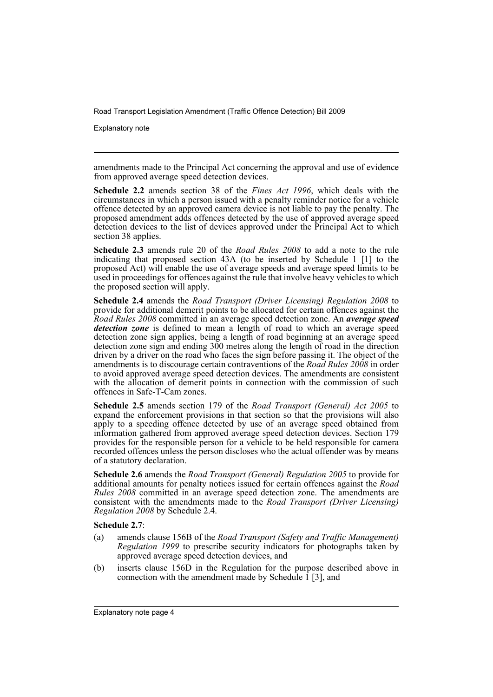Explanatory note

amendments made to the Principal Act concerning the approval and use of evidence from approved average speed detection devices.

**Schedule 2.2** amends section 38 of the *Fines Act 1996*, which deals with the circumstances in which a person issued with a penalty reminder notice for a vehicle offence detected by an approved camera device is not liable to pay the penalty. The proposed amendment adds offences detected by the use of approved average speed detection devices to the list of devices approved under the Principal Act to which section 38 applies.

**Schedule 2.3** amends rule 20 of the *Road Rules 2008* to add a note to the rule indicating that proposed section 43A (to be inserted by Schedule 1 [1] to the proposed Act) will enable the use of average speeds and average speed limits to be used in proceedings for offences against the rule that involve heavy vehicles to which the proposed section will apply.

**Schedule 2.4** amends the *Road Transport (Driver Licensing) Regulation 2008* to provide for additional demerit points to be allocated for certain offences against the *Road Rules 2008* committed in an average speed detection zone. An *average speed detection zone* is defined to mean a length of road to which an average speed detection zone sign applies, being a length of road beginning at an average speed detection zone sign and ending 300 metres along the length of road in the direction driven by a driver on the road who faces the sign before passing it. The object of the amendments is to discourage certain contraventions of the *Road Rules 2008* in order to avoid approved average speed detection devices. The amendments are consistent with the allocation of demerit points in connection with the commission of such offences in Safe-T-Cam zones.

**Schedule 2.5** amends section 179 of the *Road Transport (General) Act 2005* to expand the enforcement provisions in that section so that the provisions will also apply to a speeding offence detected by use of an average speed obtained from information gathered from approved average speed detection devices. Section 179 provides for the responsible person for a vehicle to be held responsible for camera recorded offences unless the person discloses who the actual offender was by means of a statutory declaration.

**Schedule 2.6** amends the *Road Transport (General) Regulation 2005* to provide for additional amounts for penalty notices issued for certain offences against the *Road Rules 2008* committed in an average speed detection zone. The amendments are consistent with the amendments made to the *Road Transport (Driver Licensing) Regulation 2008* by Schedule 2.4.

#### **Schedule 2.7**:

- (a) amends clause 156B of the *Road Transport (Safety and Traffic Management) Regulation 1999* to prescribe security indicators for photographs taken by approved average speed detection devices, and
- (b) inserts clause 156D in the Regulation for the purpose described above in connection with the amendment made by Schedule  $\hat{1}$  [3], and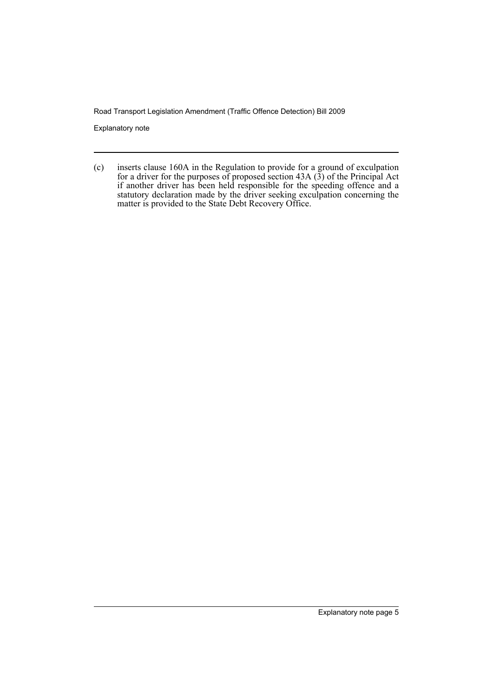Explanatory note

(c) inserts clause 160A in the Regulation to provide for a ground of exculpation for a driver for the purposes of proposed section  $43A(3)$  of the Principal Act if another driver has been held responsible for the speeding offence and a statutory declaration made by the driver seeking exculpation concerning the matter is provided to the State Debt Recovery Office.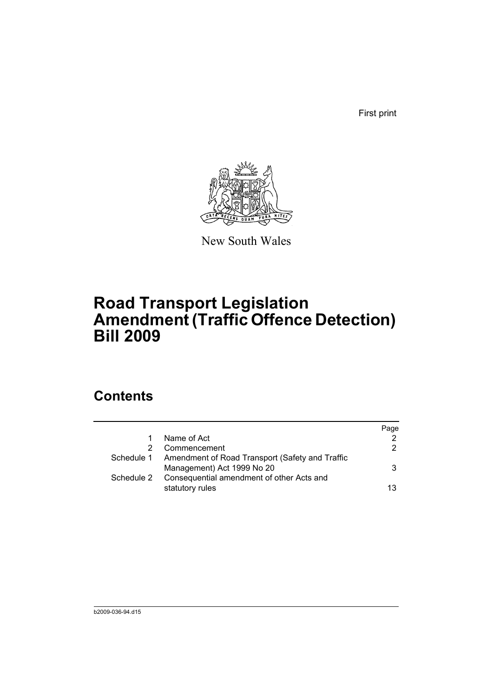First print



New South Wales

# **Road Transport Legislation Amendment (Traffic Offence Detection) Bill 2009**

## **Contents**

|            |                                                                                          | Page |
|------------|------------------------------------------------------------------------------------------|------|
|            | Name of Act                                                                              | 2    |
|            | Commencement                                                                             | 2    |
|            | Schedule 1 Amendment of Road Transport (Safety and Traffic<br>Management) Act 1999 No 20 | 3    |
| Schedule 2 | Consequential amendment of other Acts and                                                |      |
|            | statutory rules                                                                          | 13   |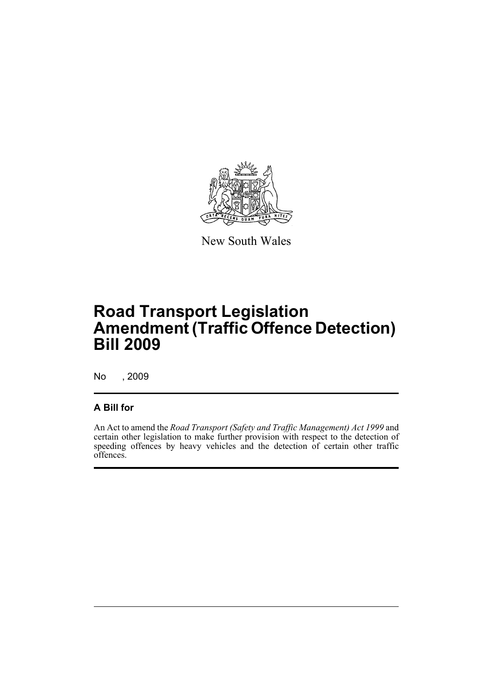

New South Wales

## **Road Transport Legislation Amendment (Traffic Offence Detection) Bill 2009**

No , 2009

### **A Bill for**

An Act to amend the *Road Transport (Safety and Traffic Management) Act 1999* and certain other legislation to make further provision with respect to the detection of speeding offences by heavy vehicles and the detection of certain other traffic offences.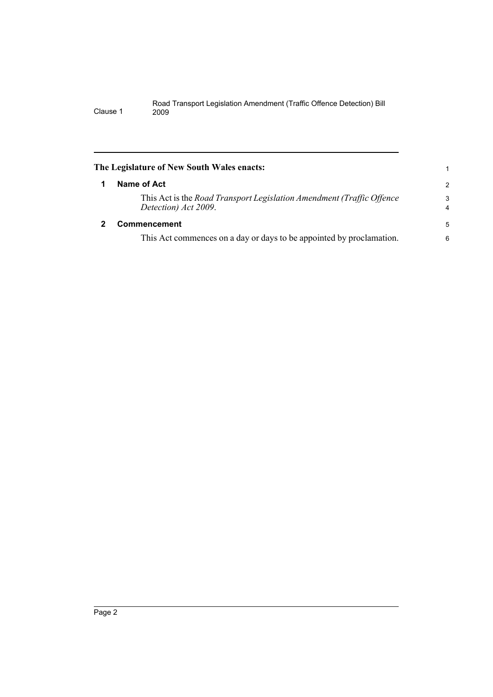<span id="page-9-1"></span><span id="page-9-0"></span>

| The Legislature of New South Wales enacts:                                                    |                     |
|-----------------------------------------------------------------------------------------------|---------------------|
| Name of Act                                                                                   | $\overline{2}$      |
| This Act is the Road Transport Legislation Amendment (Traffic Offence<br>Detection) Act 2009. | 3<br>$\overline{4}$ |
| Commencement                                                                                  | 5                   |
| This Act commences on a day or days to be appointed by proclamation.                          | 6                   |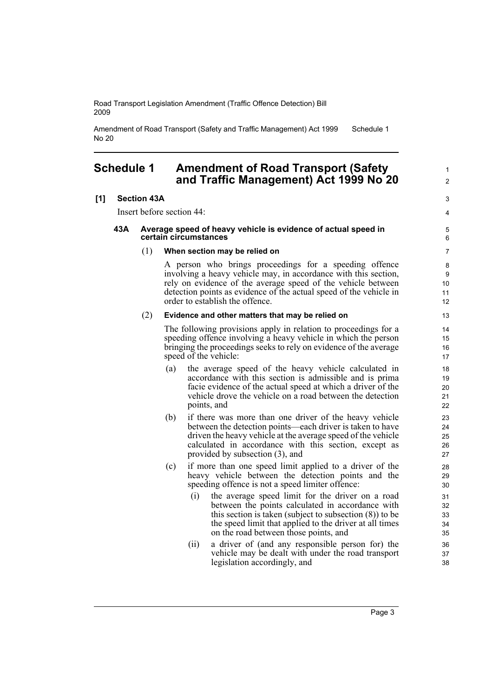Amendment of Road Transport (Safety and Traffic Management) Act 1999 No 20 Schedule 1

### <span id="page-10-0"></span>**Schedule 1 Amendment of Road Transport (Safety and Traffic Management) Act 1999 No 20**

#### **[1] Section 43A**

Insert before section 44:

#### **43A Average speed of heavy vehicle is evidence of actual speed in certain circumstances**

#### (1) **When section may be relied on**

A person who brings proceedings for a speeding offence involving a heavy vehicle may, in accordance with this section, rely on evidence of the average speed of the vehicle between detection points as evidence of the actual speed of the vehicle in order to establish the offence.

#### (2) **Evidence and other matters that may be relied on**

The following provisions apply in relation to proceedings for a speeding offence involving a heavy vehicle in which the person bringing the proceedings seeks to rely on evidence of the average speed of the vehicle:

- (a) the average speed of the heavy vehicle calculated in accordance with this section is admissible and is prima facie evidence of the actual speed at which a driver of the vehicle drove the vehicle on a road between the detection points, and
- (b) if there was more than one driver of the heavy vehicle between the detection points—each driver is taken to have driven the heavy vehicle at the average speed of the vehicle calculated in accordance with this section, except as provided by subsection (3), and
- (c) if more than one speed limit applied to a driver of the heavy vehicle between the detection points and the speeding offence is not a speed limiter offence:
	- (i) the average speed limit for the driver on a road between the points calculated in accordance with this section is taken (subject to subsection (8)) to be the speed limit that applied to the driver at all times on the road between those points, and
	- (ii) a driver of (and any responsible person for) the vehicle may be dealt with under the road transport legislation accordingly, and

1  $\mathfrak{p}$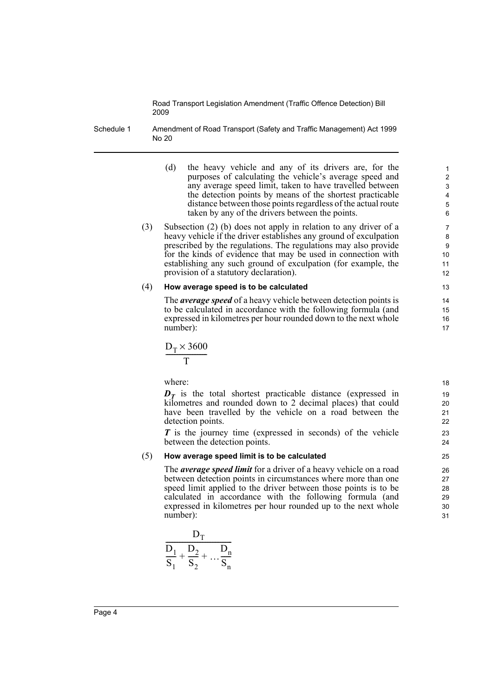Schedule 1 Amendment of Road Transport (Safety and Traffic Management) Act 1999 No 20

- (d) the heavy vehicle and any of its drivers are, for the purposes of calculating the vehicle's average speed and any average speed limit, taken to have travelled between the detection points by means of the shortest practicable distance between those points regardless of the actual route taken by any of the drivers between the points.
- (3) Subsection (2) (b) does not apply in relation to any driver of a heavy vehicle if the driver establishes any ground of exculpation prescribed by the regulations. The regulations may also provide for the kinds of evidence that may be used in connection with establishing any such ground of exculpation (for example, the provision of a statutory declaration).

#### (4) **How average speed is to be calculated**

The *average speed* of a heavy vehicle between detection points is to be calculated in accordance with the following formula (and expressed in kilometres per hour rounded down to the next whole number):

$$
\frac{D_T \times 3600}{T}
$$

where:

 $D<sub>T</sub>$  is the total shortest practicable distance (expressed in kilometres and rounded down to 2 decimal places) that could have been travelled by the vehicle on a road between the detection points.

*T* is the journey time (expressed in seconds) of the vehicle between the detection points.

#### (5) **How average speed limit is to be calculated**

The *average speed limit* for a driver of a heavy vehicle on a road between detection points in circumstances where more than one speed limit applied to the driver between those points is to be calculated in accordance with the following formula (and expressed in kilometres per hour rounded up to the next whole number):

$$
\frac{D_T}{S_1 + \frac{D_2}{S_2} + \dots + \frac{D_n}{S_n}}
$$

> 18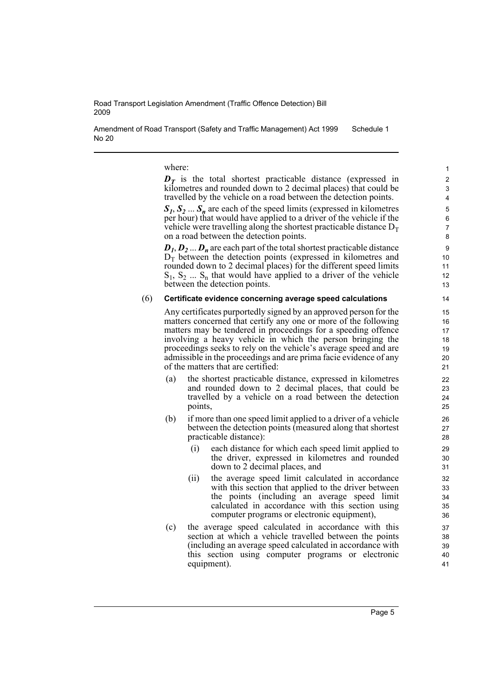Amendment of Road Transport (Safety and Traffic Management) Act 1999 No 20 Schedule 1

where:

 $D<sub>T</sub>$  is the total shortest practicable distance (expressed in kilometres and rounded down to 2 decimal places) that could be travelled by the vehicle on a road between the detection points.

 $S_1, S_2, \ldots, S_n$  are each of the speed limits (expressed in kilometres per hour) that would have applied to a driver of the vehicle if the vehicle were travelling along the shortest practicable distance  $D<sub>T</sub>$ on a road between the detection points.

 $D_1, D_2, \ldots, D_n$  are each part of the total shortest practicable distance  $D<sub>T</sub>$  between the detection points (expressed in kilometres and rounded down to 2 decimal places) for the different speed limits  $S_1, S_2, \ldots, S_n$  that would have applied to a driver of the vehicle between the detection points.

#### (6) **Certificate evidence concerning average speed calculations**

Any certificates purportedly signed by an approved person for the matters concerned that certify any one or more of the following matters may be tendered in proceedings for a speeding offence involving a heavy vehicle in which the person bringing the proceedings seeks to rely on the vehicle's average speed and are admissible in the proceedings and are prima facie evidence of any of the matters that are certified:

- (a) the shortest practicable distance, expressed in kilometres and rounded down to 2 decimal places, that could be travelled by a vehicle on a road between the detection points,
- (b) if more than one speed limit applied to a driver of a vehicle between the detection points (measured along that shortest practicable distance):
	- (i) each distance for which each speed limit applied to the driver, expressed in kilometres and rounded down to 2 decimal places, and
	- (ii) the average speed limit calculated in accordance with this section that applied to the driver between the points (including an average speed limit calculated in accordance with this section using computer programs or electronic equipment),
- (c) the average speed calculated in accordance with this section at which a vehicle travelled between the points (including an average speed calculated in accordance with this section using computer programs or electronic equipment).

Page 5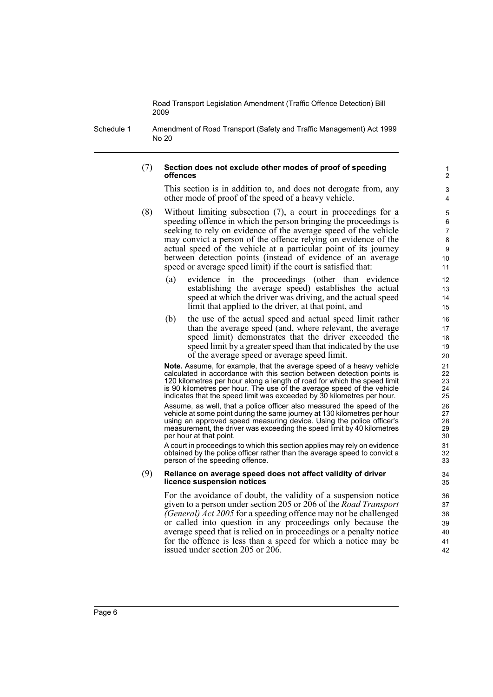Schedule 1 Amendment of Road Transport (Safety and Traffic Management) Act 1999 No 20

#### (7) **Section does not exclude other modes of proof of speeding offences**

This section is in addition to, and does not derogate from, any other mode of proof of the speed of a heavy vehicle.

- (8) Without limiting subsection (7), a court in proceedings for a speeding offence in which the person bringing the proceedings is seeking to rely on evidence of the average speed of the vehicle may convict a person of the offence relying on evidence of the actual speed of the vehicle at a particular point of its journey between detection points (instead of evidence of an average speed or average speed limit) if the court is satisfied that:
	- (a) evidence in the proceedings (other than evidence establishing the average speed) establishes the actual speed at which the driver was driving, and the actual speed limit that applied to the driver, at that point, and
	- (b) the use of the actual speed and actual speed limit rather than the average speed (and, where relevant, the average speed limit) demonstrates that the driver exceeded the speed limit by a greater speed than that indicated by the use of the average speed or average speed limit.

**Note.** Assume, for example, that the average speed of a heavy vehicle calculated in accordance with this section between detection points is 120 kilometres per hour along a length of road for which the speed limit is 90 kilometres per hour. The use of the average speed of the vehicle indicates that the speed limit was exceeded by 30 kilometres per hour.

Assume, as well, that a police officer also measured the speed of the vehicle at some point during the same journey at 130 kilometres per hour using an approved speed measuring device. Using the police officer's measurement, the driver was exceeding the speed limit by 40 kilometres per hour at that point.

A court in proceedings to which this section applies may rely on evidence obtained by the police officer rather than the average speed to convict a person of the speeding offence.

#### (9) **Reliance on average speed does not affect validity of driver licence suspension notices**

For the avoidance of doubt, the validity of a suspension notice given to a person under section 205 or 206 of the *Road Transport (General) Act 2005* for a speeding offence may not be challenged or called into question in any proceedings only because the average speed that is relied on in proceedings or a penalty notice for the offence is less than a speed for which a notice may be issued under section 205 or 206.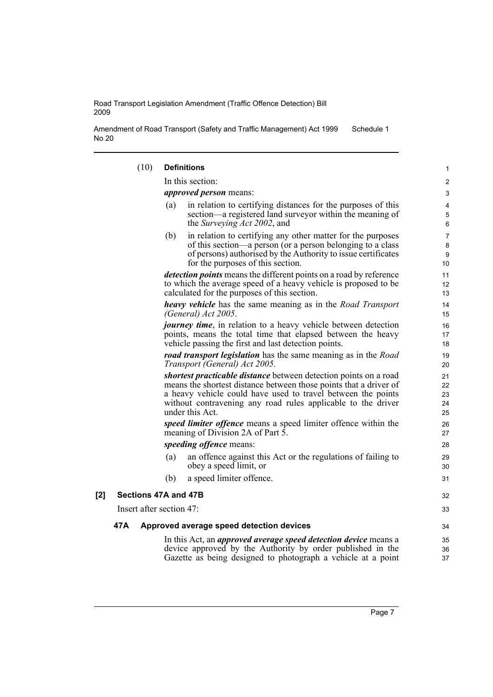Amendment of Road Transport (Safety and Traffic Management) Act 1999 No 20 Schedule 1

|     | (10)                     | <b>Definitions</b>                                                                                                                                                                                                                                                                       | 1                          |
|-----|--------------------------|------------------------------------------------------------------------------------------------------------------------------------------------------------------------------------------------------------------------------------------------------------------------------------------|----------------------------|
|     |                          | In this section:                                                                                                                                                                                                                                                                         | $\overline{\mathbf{c}}$    |
|     |                          | <i>approved person</i> means:                                                                                                                                                                                                                                                            |                            |
|     |                          | in relation to certifying distances for the purposes of this<br>(a)<br>section—a registered land surveyor within the meaning of<br>the Surveying Act 2002, and                                                                                                                           | 4<br>5<br>6                |
|     |                          | in relation to certifying any other matter for the purposes<br>(b)<br>of this section—a person (or a person belonging to a class<br>of persons) authorised by the Authority to issue certificates<br>for the purposes of this section.                                                   | 7<br>8<br>9<br>10          |
|     |                          | detection points means the different points on a road by reference<br>to which the average speed of a heavy vehicle is proposed to be<br>calculated for the purposes of this section.                                                                                                    | 11<br>12<br>13             |
|     |                          | <b>heavy vehicle</b> has the same meaning as in the <i>Road Transport</i><br>(General) Act 2005.                                                                                                                                                                                         | 14<br>15                   |
|     |                          | <i>journey time</i> , in relation to a heavy vehicle between detection<br>points, means the total time that elapsed between the heavy<br>vehicle passing the first and last detection points.                                                                                            | 16<br>17<br>18             |
|     |                          | <b>road transport legislation</b> has the same meaning as in the Road<br>Transport (General) Act 2005.                                                                                                                                                                                   | 19<br>20                   |
|     |                          | shortest practicable distance between detection points on a road<br>means the shortest distance between those points that a driver of<br>a heavy vehicle could have used to travel between the points<br>without contravening any road rules applicable to the driver<br>under this Act. | 21<br>22<br>23<br>24<br>25 |
|     |                          | speed limiter offence means a speed limiter offence within the<br>meaning of Division 2A of Part 5.                                                                                                                                                                                      | 26<br>27                   |
|     |                          | speeding offence means:                                                                                                                                                                                                                                                                  | 28                         |
|     |                          | an offence against this Act or the regulations of failing to<br>(a)<br>obey a speed limit, or                                                                                                                                                                                            | 29<br>30                   |
|     |                          | (b)<br>a speed limiter offence.                                                                                                                                                                                                                                                          | 31                         |
| [2] | Sections 47A and 47B     |                                                                                                                                                                                                                                                                                          |                            |
|     | Insert after section 47: |                                                                                                                                                                                                                                                                                          | 33                         |
|     | 47A                      | Approved average speed detection devices                                                                                                                                                                                                                                                 | 34                         |
|     |                          | In this Act, an <i>approved average speed detection device</i> means a<br>device approved by the Authority by order published in the<br>Gazette as being designed to photograph a vehicle at a point                                                                                     | 35<br>36<br>37             |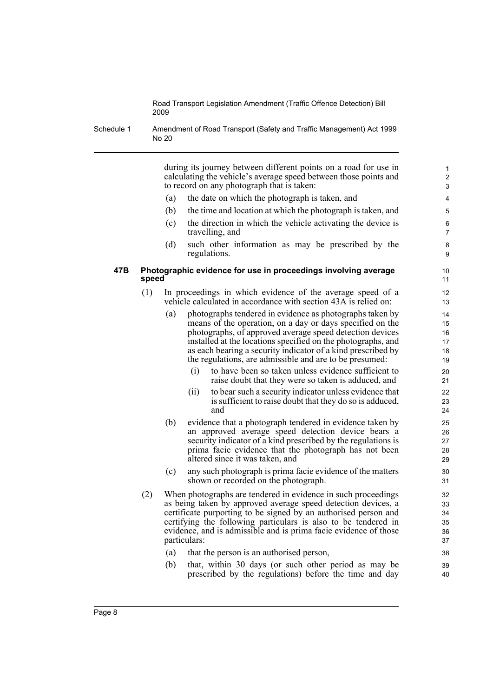Schedule 1 Amendment of Road Transport (Safety and Traffic Management) Act 1999 No 20

> during its journey between different points on a road for use in calculating the vehicle's average speed between those points and to record on any photograph that is taken:

- (a) the date on which the photograph is taken, and
- (b) the time and location at which the photograph is taken, and
- (c) the direction in which the vehicle activating the device is travelling, and
- (d) such other information as may be prescribed by the regulations.

#### **47B Photographic evidence for use in proceedings involving average speed**

- (1) In proceedings in which evidence of the average speed of a vehicle calculated in accordance with section 43A is relied on:
	- (a) photographs tendered in evidence as photographs taken by means of the operation, on a day or days specified on the photographs, of approved average speed detection devices installed at the locations specified on the photographs, and as each bearing a security indicator of a kind prescribed by the regulations, are admissible and are to be presumed:
		- (i) to have been so taken unless evidence sufficient to raise doubt that they were so taken is adduced, and
		- (ii) to bear such a security indicator unless evidence that is sufficient to raise doubt that they do so is adduced, and
	- (b) evidence that a photograph tendered in evidence taken by an approved average speed detection device bears a security indicator of a kind prescribed by the regulations is prima facie evidence that the photograph has not been altered since it was taken, and
	- (c) any such photograph is prima facie evidence of the matters shown or recorded on the photograph.
- (2) When photographs are tendered in evidence in such proceedings as being taken by approved average speed detection devices, a certificate purporting to be signed by an authorised person and certifying the following particulars is also to be tendered in evidence, and is admissible and is prima facie evidence of those particulars:
	- (a) that the person is an authorised person,
	- (b) that, within 30 days (or such other period as may be prescribed by the regulations) before the time and day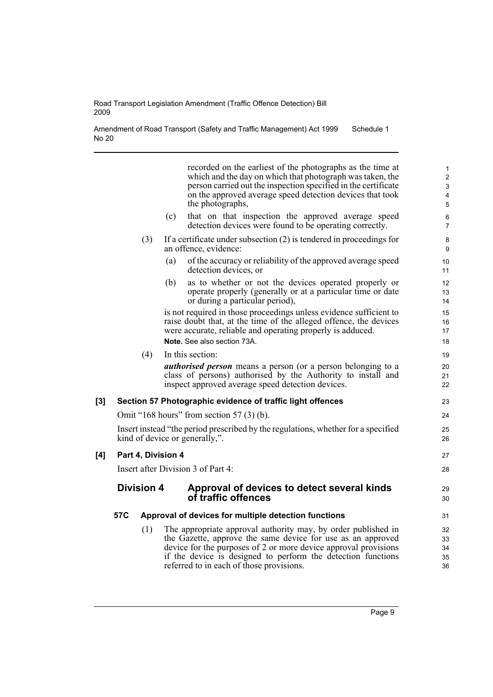Amendment of Road Transport (Safety and Traffic Management) Act 1999 No 20 Schedule 1

recorded on the earliest of the photographs as the time at which and the day on which that photograph was taken, the person carried out the inspection specified in the certificate on the approved average speed detection devices that took the photographs, (c) that on that inspection the approved average speed detection devices were found to be operating correctly. (3) If a certificate under subsection (2) is tendered in proceedings for an offence, evidence: (a) of the accuracy or reliability of the approved average speed detection devices, or (b) as to whether or not the devices operated properly or operate properly (generally or at a particular time or date or during a particular period), is not required in those proceedings unless evidence sufficient to raise doubt that, at the time of the alleged offence, the devices were accurate, reliable and operating properly is adduced. **Note.** See also section 73A. (4) In this section: *authorised person* means a person (or a person belonging to a class of persons) authorised by the Authority to install and inspect approved average speed detection devices. **[3] Section 57 Photographic evidence of traffic light offences** Omit "168 hours" from section 57 (3) (b). Insert instead "the period prescribed by the regulations, whether for a specified kind of device or generally,". **[4] Part 4, Division 4** Insert after Division 3 of Part 4: **Division 4 Approval of devices to detect several kinds of traffic offences 57C Approval of devices for multiple detection functions** (1) The appropriate approval authority may, by order published in the Gazette, approve the same device for use as an approved device for the purposes of 2 or more device approval provisions if the device is designed to perform the detection functions referred to in each of those provisions.  $10$ 11 12 13 14 15 16 17 18 19 20 21 22 23 24 25 26 27 28 29 30 31 32 33 34 35 36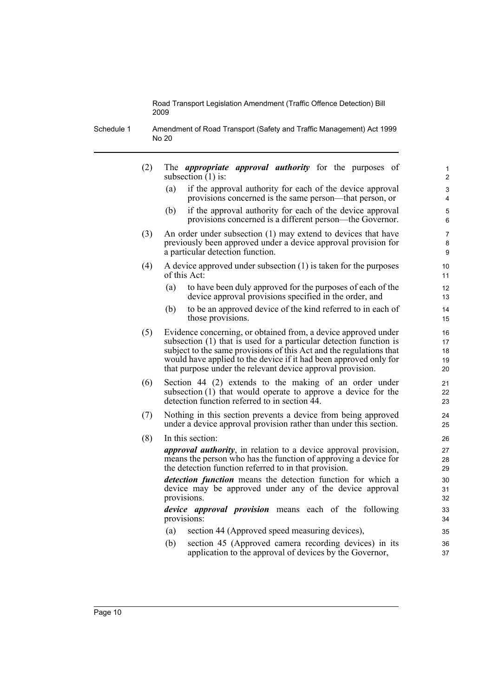Schedule 1 Amendment of Road Transport (Safety and Traffic Management) Act 1999 No 20

> (2) The *appropriate approval authority* for the purposes of subsection  $(1)$  is: (a) if the approval authority for each of the device approval provisions concerned is the same person—that person, or (b) if the approval authority for each of the device approval provisions concerned is a different person—the Governor. (3) An order under subsection (1) may extend to devices that have previously been approved under a device approval provision for a particular detection function. (4) A device approved under subsection (1) is taken for the purposes of this Act: (a) to have been duly approved for the purposes of each of the device approval provisions specified in the order, and (b) to be an approved device of the kind referred to in each of those provisions. (5) Evidence concerning, or obtained from, a device approved under subsection (1) that is used for a particular detection function is subject to the same provisions of this Act and the regulations that would have applied to the device if it had been approved only for that purpose under the relevant device approval provision. (6) Section 44 (2) extends to the making of an order under subsection (1) that would operate to approve a device for the detection function referred to in section 44. (7) Nothing in this section prevents a device from being approved under a device approval provision rather than under this section. (8) In this section: *approval authority*, in relation to a device approval provision, means the person who has the function of approving a device for the detection function referred to in that provision. *detection function* means the detection function for which a device may be approved under any of the device approval provisions. *device approval provision* means each of the following provisions: (a) section 44 (Approved speed measuring devices), (b) section 45 (Approved camera recording devices) in its 1 2  $\overline{a}$ 4 5 6 7 8 9 10 11 12 13 14 15 16 17 18 19 20 21 22 23  $24$ 25 26 27 28 29 30 31 32 33 34 35 36

> > application to the approval of devices by the Governor,

37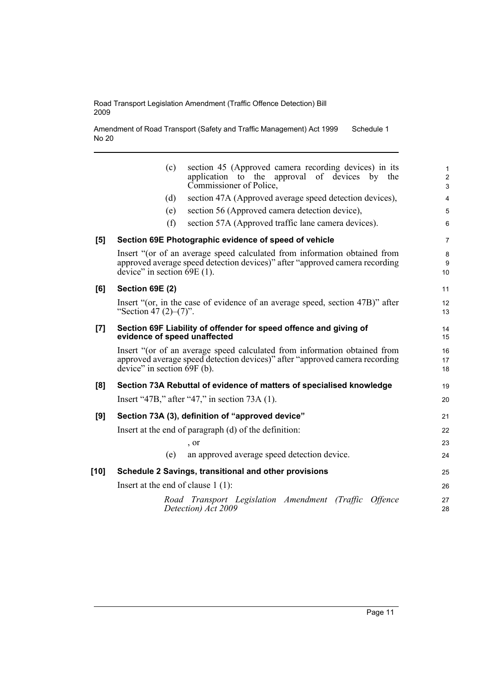Amendment of Road Transport (Safety and Traffic Management) Act 1999 No 20 Schedule 1

|      | section 45 (Approved camera recording devices) in its<br>(c)<br>application to the approval<br>of devices by<br>the<br>Commissioner of Police,                                                       | 1<br>$\overline{c}$<br>3 |
|------|------------------------------------------------------------------------------------------------------------------------------------------------------------------------------------------------------|--------------------------|
|      | section 47A (Approved average speed detection devices),<br>(d)                                                                                                                                       | 4                        |
|      | section 56 (Approved camera detection device),<br>(e)                                                                                                                                                | 5                        |
|      | section 57A (Approved traffic lane camera devices).<br>(f)                                                                                                                                           | 6                        |
| [5]  | Section 69E Photographic evidence of speed of vehicle                                                                                                                                                | 7                        |
|      | Insert "(or of an average speed calculated from information obtained from<br>approved average speed detection devices)" after "approved camera recording<br>device" in section $\overline{69E}(1)$ . | 8<br>9<br>10             |
| [6]  | <b>Section 69E (2)</b>                                                                                                                                                                               | 11                       |
|      | Insert "(or, in the case of evidence of an average speed, section 47B)" after<br>"Section 47 $(2)$ – $(7)$ ".                                                                                        | 12<br>13                 |
| [7]  | Section 69F Liability of offender for speed offence and giving of<br>evidence of speed unaffected                                                                                                    | 14<br>15                 |
|      | Insert "(or of an average speed calculated from information obtained from<br>approved average speed detection devices)" after "approved camera recording<br>device" in section $69F$ (b).            | 16<br>17<br>18           |
| [8]  | Section 73A Rebuttal of evidence of matters of specialised knowledge                                                                                                                                 | 19                       |
|      | Insert "47B," after "47," in section $73A(1)$ .                                                                                                                                                      | 20                       |
| [9]  | Section 73A (3), definition of "approved device"                                                                                                                                                     | 21                       |
|      | Insert at the end of paragraph (d) of the definition:                                                                                                                                                | 22                       |
|      | , or                                                                                                                                                                                                 | 23                       |
|      | an approved average speed detection device.<br>(e)                                                                                                                                                   | 24                       |
| [10] | Schedule 2 Savings, transitional and other provisions                                                                                                                                                | 25                       |
|      | Insert at the end of clause $1(1)$ :                                                                                                                                                                 | 26                       |
|      | Road Transport Legislation Amendment (Traffic<br><i>Offence</i><br>Detection) Act 2009                                                                                                               | 27<br>28                 |
|      |                                                                                                                                                                                                      |                          |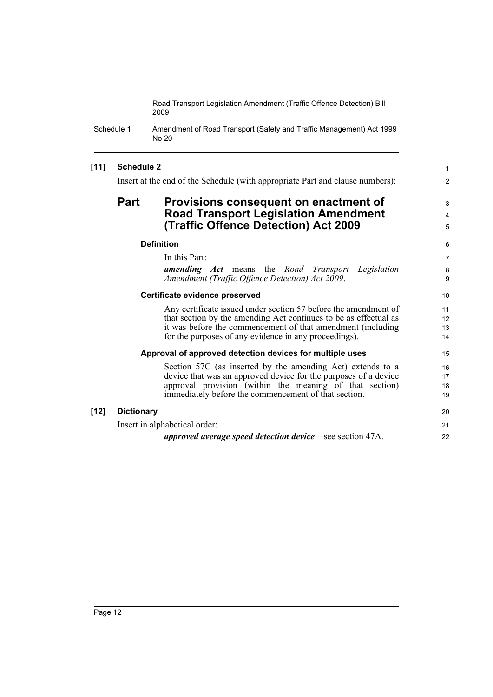Schedule 1 Amendment of Road Transport (Safety and Traffic Management) Act 1999 No 20

### **[11] Schedule 2**

Insert at the end of the Schedule (with appropriate Part and clause numbers):

### **Part Provisions consequent on enactment of Road Transport Legislation Amendment (Traffic Offence Detection) Act 2009**

#### **Definition**

In this Part: *amending Act* means the *Road Transport Legislation Amendment (Traffic Offence Detection) Act 2009*.

1 2

3 4 5

#### **Certificate evidence preserved**

Any certificate issued under section 57 before the amendment of that section by the amending Act continues to be as effectual as it was before the commencement of that amendment (including for the purposes of any evidence in any proceedings).

#### **Approval of approved detection devices for multiple uses**

Section 57C (as inserted by the amending Act) extends to a device that was an approved device for the purposes of a device approval provision (within the meaning of that section) immediately before the commencement of that section.

| [12] | <b>Dictionary</b>                                                | 20 |
|------|------------------------------------------------------------------|----|
|      | Insert in alphabetical order:                                    |    |
|      | <i>approved average speed detection device</i> —see section 47A. | 22 |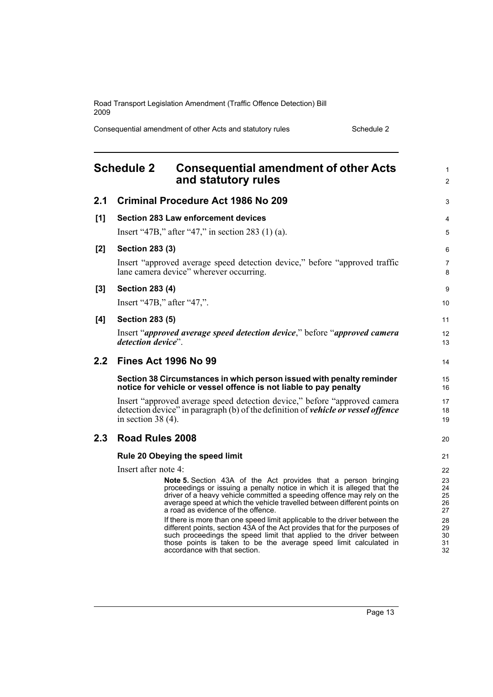Consequential amendment of other Acts and statutory rules Schedule 2

<span id="page-20-0"></span>

|       | <b>Schedule 2</b><br><b>Consequential amendment of other Acts</b><br>and statutory rules                                                                                                                                                                                                                                                                                                                                                                                                                                                                                                                                                                                              | 1<br>$\overline{2}$                                      |  |  |  |
|-------|---------------------------------------------------------------------------------------------------------------------------------------------------------------------------------------------------------------------------------------------------------------------------------------------------------------------------------------------------------------------------------------------------------------------------------------------------------------------------------------------------------------------------------------------------------------------------------------------------------------------------------------------------------------------------------------|----------------------------------------------------------|--|--|--|
| 2.1   | <b>Criminal Procedure Act 1986 No 209</b>                                                                                                                                                                                                                                                                                                                                                                                                                                                                                                                                                                                                                                             |                                                          |  |  |  |
| [1]   | <b>Section 283 Law enforcement devices</b><br>Insert "47B," after "47," in section 283 $(1)$ (a).                                                                                                                                                                                                                                                                                                                                                                                                                                                                                                                                                                                     |                                                          |  |  |  |
| $[2]$ | <b>Section 283 (3)</b><br>Insert "approved average speed detection device," before "approved traffic<br>lane camera device" wherever occurring.                                                                                                                                                                                                                                                                                                                                                                                                                                                                                                                                       |                                                          |  |  |  |
| $[3]$ | <b>Section 283 (4)</b><br>Insert "47B," after "47,".                                                                                                                                                                                                                                                                                                                                                                                                                                                                                                                                                                                                                                  | 9<br>10                                                  |  |  |  |
| [4]   | <b>Section 283 (5)</b><br>Insert "approved average speed detection device," before "approved camera"<br>detection device".                                                                                                                                                                                                                                                                                                                                                                                                                                                                                                                                                            | 11<br>12<br>13                                           |  |  |  |
| 2.2   | <b>Fines Act 1996 No 99</b>                                                                                                                                                                                                                                                                                                                                                                                                                                                                                                                                                                                                                                                           | 14                                                       |  |  |  |
|       | Section 38 Circumstances in which person issued with penalty reminder<br>notice for vehicle or vessel offence is not liable to pay penalty                                                                                                                                                                                                                                                                                                                                                                                                                                                                                                                                            | 15<br>16                                                 |  |  |  |
|       | Insert "approved average speed detection device," before "approved camera"<br>detection device" in paragraph (b) of the definition of vehicle or vessel offence<br>in section 38 $(4)$ .                                                                                                                                                                                                                                                                                                                                                                                                                                                                                              | 17<br>18<br>19                                           |  |  |  |
| 2.3   | <b>Road Rules 2008</b>                                                                                                                                                                                                                                                                                                                                                                                                                                                                                                                                                                                                                                                                | 20                                                       |  |  |  |
|       | Rule 20 Obeying the speed limit<br>Insert after note 4:                                                                                                                                                                                                                                                                                                                                                                                                                                                                                                                                                                                                                               | 21<br>22                                                 |  |  |  |
|       | <b>Note 5.</b> Section 43A of the Act provides that a person bringing<br>proceedings or issuing a penalty notice in which it is alleged that the<br>driver of a heavy vehicle committed a speeding offence may rely on the<br>average speed at which the vehicle travelled between different points on<br>a road as evidence of the offence.<br>If there is more than one speed limit applicable to the driver between the<br>different points, section 43A of the Act provides that for the purposes of<br>such proceedings the speed limit that applied to the driver between<br>those points is taken to be the average speed limit calculated in<br>accordance with that section. | 23<br>24<br>25<br>26<br>27<br>28<br>29<br>30<br>31<br>32 |  |  |  |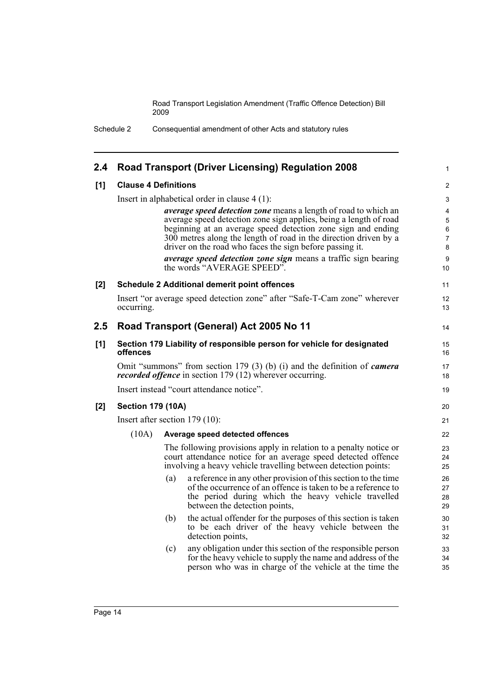Schedule 2 Consequential amendment of other Acts and statutory rules

| 2.4 | <b>Road Transport (Driver Licensing) Regulation 2008</b>                           |     |                                                                                                                                                                                                                         |                           |  |
|-----|------------------------------------------------------------------------------------|-----|-------------------------------------------------------------------------------------------------------------------------------------------------------------------------------------------------------------------------|---------------------------|--|
| [1] | <b>Clause 4 Definitions</b>                                                        |     |                                                                                                                                                                                                                         | 2                         |  |
|     |                                                                                    |     | Insert in alphabetical order in clause $4(1)$ :                                                                                                                                                                         | 3                         |  |
|     |                                                                                    |     | <i>average speed detection zone</i> means a length of road to which an                                                                                                                                                  | 4                         |  |
|     |                                                                                    |     | average speed detection zone sign applies, being a length of road<br>beginning at an average speed detection zone sign and ending                                                                                       | 5<br>$\,6\,$              |  |
|     |                                                                                    |     | 300 metres along the length of road in the direction driven by a<br>driver on the road who faces the sign before passing it.                                                                                            | $\overline{7}$<br>$\bf 8$ |  |
|     |                                                                                    |     | average speed detection zone sign means a traffic sign bearing<br>the words "AVERAGE SPEED".                                                                                                                            | 9<br>10                   |  |
| [2] |                                                                                    |     | <b>Schedule 2 Additional demerit point offences</b>                                                                                                                                                                     | 11                        |  |
|     | occurring.                                                                         |     | Insert "or average speed detection zone" after "Safe-T-Cam zone" wherever                                                                                                                                               | 12<br>13                  |  |
| 2.5 | Road Transport (General) Act 2005 No 11                                            |     |                                                                                                                                                                                                                         |                           |  |
| [1] | Section 179 Liability of responsible person for vehicle for designated<br>offences |     |                                                                                                                                                                                                                         | 15<br>16                  |  |
|     |                                                                                    |     | Omit "summons" from section 179 (3) (b) (i) and the definition of <i>camera</i><br>recorded offence in section 179 (12) wherever occurring.                                                                             | 17<br>18                  |  |
|     | Insert instead "court attendance notice".                                          |     |                                                                                                                                                                                                                         |                           |  |
| [2] | <b>Section 179 (10A)</b>                                                           |     |                                                                                                                                                                                                                         | 20                        |  |
|     | Insert after section 179 (10):                                                     |     |                                                                                                                                                                                                                         |                           |  |
|     | (10A)                                                                              |     | Average speed detected offences                                                                                                                                                                                         | 22                        |  |
|     |                                                                                    |     | The following provisions apply in relation to a penalty notice or<br>court attendance notice for an average speed detected offence<br>involving a heavy vehicle travelling between detection points:                    | 23<br>24<br>25            |  |
|     |                                                                                    | (a) | a reference in any other provision of this section to the time<br>of the occurrence of an offence is taken to be a reference to<br>the period during which the heavy vehicle travelled<br>between the detection points, | 26<br>27<br>28<br>29      |  |
|     |                                                                                    | (b) | the actual offender for the purposes of this section is taken<br>to be each driver of the heavy vehicle between the<br>detection points,                                                                                | 30<br>31<br>32            |  |
|     |                                                                                    | (c) | any obligation under this section of the responsible person<br>for the heavy vehicle to supply the name and address of the<br>person who was in charge of the vehicle at the time the                                   | 33<br>34<br>35            |  |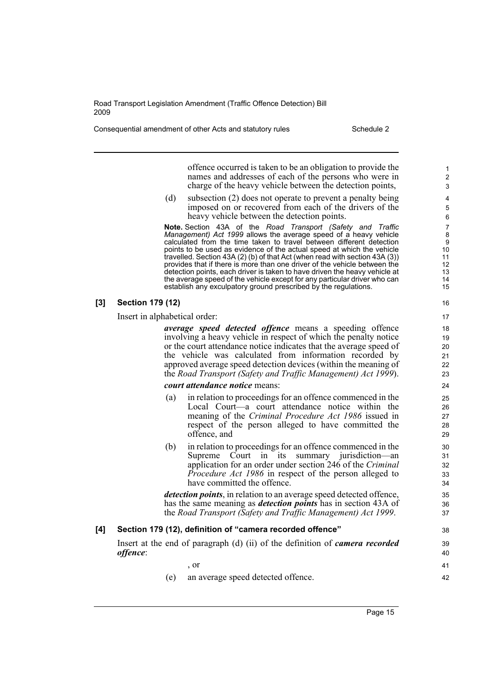Consequential amendment of other Acts and statutory rules Schedule 2

offence occurred is taken to be an obligation to provide the names and addresses of each of the persons who were in charge of the heavy vehicle between the detection points,

(d) subsection (2) does not operate to prevent a penalty being imposed on or recovered from each of the drivers of the heavy vehicle between the detection points.

**Note.** Section 43A of the *Road Transport (Safety and Traffic Management) Act 1999* allows the average speed of a heavy vehicle calculated from the time taken to travel between different detection points to be used as evidence of the actual speed at which the vehicle travelled. Section 43A (2) (b) of that Act (when read with section 43A (3)) provides that if there is more than one driver of the vehicle between the detection points, each driver is taken to have driven the heavy vehicle at the average speed of the vehicle except for any particular driver who can establish any exculpatory ground prescribed by the regulations.

#### **[3] Section 179 (12)**

Insert in alphabetical order:

*average speed detected offence* means a speeding offence involving a heavy vehicle in respect of which the penalty notice or the court attendance notice indicates that the average speed of the vehicle was calculated from information recorded by approved average speed detection devices (within the meaning of the *Road Transport (Safety and Traffic Management) Act 1999*).

#### *court attendance notice* means:

- (a) in relation to proceedings for an offence commenced in the Local Court—a court attendance notice within the meaning of the *Criminal Procedure Act 1986* issued in respect of the person alleged to have committed the offence, and
- (b) in relation to proceedings for an offence commenced in the Supreme Court in its summary jurisdiction—an application for an order under section 246 of the *Criminal Procedure Act 1986* in respect of the person alleged to have committed the offence.

*detection points*, in relation to an average speed detected offence, has the same meaning as *detection points* has in section 43A of the *Road Transport (Safety and Traffic Management) Act 1999*.

# **[4] Section 179 (12), definition of "camera recorded offence"**

Insert at the end of paragraph (d) (ii) of the definition of *camera recorded offence*:

, or (e) an average speed detected offence.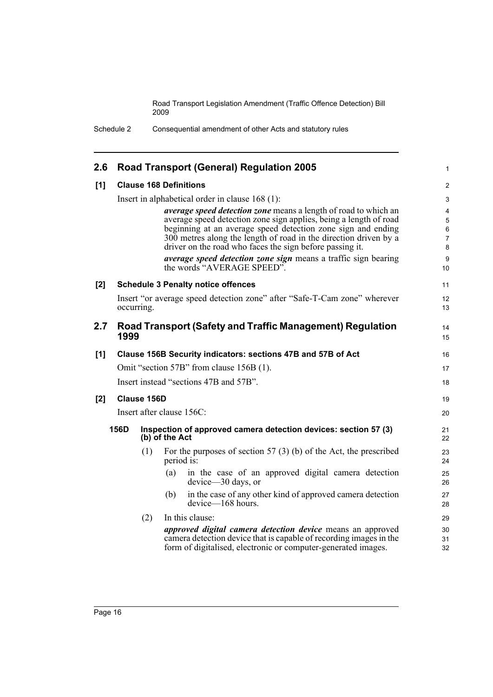Schedule 2 Consequential amendment of other Acts and statutory rules

| 2.6 | <b>Road Transport (General) Regulation 2005</b>                                         |             |                                                                                                                                                                                                                                                                                                                                             |                                                |  |
|-----|-----------------------------------------------------------------------------------------|-------------|---------------------------------------------------------------------------------------------------------------------------------------------------------------------------------------------------------------------------------------------------------------------------------------------------------------------------------------------|------------------------------------------------|--|
| [1] | <b>Clause 168 Definitions</b>                                                           |             |                                                                                                                                                                                                                                                                                                                                             |                                                |  |
|     |                                                                                         |             | Insert in alphabetical order in clause 168 (1):                                                                                                                                                                                                                                                                                             | 3                                              |  |
|     |                                                                                         |             | <i>average speed detection zone</i> means a length of road to which an<br>average speed detection zone sign applies, being a length of road<br>beginning at an average speed detection zone sign and ending<br>300 metres along the length of road in the direction driven by a<br>driver on the road who faces the sign before passing it. | 4<br>5<br>$\,6\,$<br>$\overline{7}$<br>$\bf 8$ |  |
|     |                                                                                         |             | average speed detection zone sign means a traffic sign bearing<br>the words "AVERAGE SPEED".                                                                                                                                                                                                                                                | $\boldsymbol{9}$<br>10                         |  |
| [2] |                                                                                         |             | <b>Schedule 3 Penalty notice offences</b>                                                                                                                                                                                                                                                                                                   | 11                                             |  |
|     | Insert "or average speed detection zone" after "Safe-T-Cam zone" wherever<br>occurring. |             |                                                                                                                                                                                                                                                                                                                                             |                                                |  |
| 2.7 | 1999                                                                                    |             | <b>Road Transport (Safety and Traffic Management) Regulation</b>                                                                                                                                                                                                                                                                            | 14<br>15                                       |  |
| [1] | Clause 156B Security indicators: sections 47B and 57B of Act                            |             |                                                                                                                                                                                                                                                                                                                                             | 16                                             |  |
|     | Omit "section 57B" from clause 156B (1).                                                |             |                                                                                                                                                                                                                                                                                                                                             |                                                |  |
|     | Insert instead "sections 47B and 57B".                                                  |             |                                                                                                                                                                                                                                                                                                                                             |                                                |  |
| [2] |                                                                                         | Clause 156D |                                                                                                                                                                                                                                                                                                                                             | 19                                             |  |
|     | Insert after clause 156C:<br>156D<br>(b) of the Act                                     |             |                                                                                                                                                                                                                                                                                                                                             | 20                                             |  |
|     |                                                                                         |             | Inspection of approved camera detection devices: section 57 (3)                                                                                                                                                                                                                                                                             | 21<br>22                                       |  |
|     |                                                                                         | (1)         | For the purposes of section $57(3)$ (b) of the Act, the prescribed<br>period is:                                                                                                                                                                                                                                                            | 23<br>24                                       |  |
|     |                                                                                         |             | in the case of an approved digital camera detection<br>(a)<br>$device - 30 \, days$ , or                                                                                                                                                                                                                                                    | 25<br>26                                       |  |
|     |                                                                                         |             | in the case of any other kind of approved camera detection<br>(b)<br>device-168 hours.                                                                                                                                                                                                                                                      | 27<br>28                                       |  |
|     |                                                                                         | (2)         | In this clause:                                                                                                                                                                                                                                                                                                                             | 29                                             |  |
|     |                                                                                         |             | approved digital camera detection device means an approved<br>camera detection device that is capable of recording images in the<br>form of digitalised, electronic or computer-generated images.                                                                                                                                           | 30<br>31<br>32                                 |  |